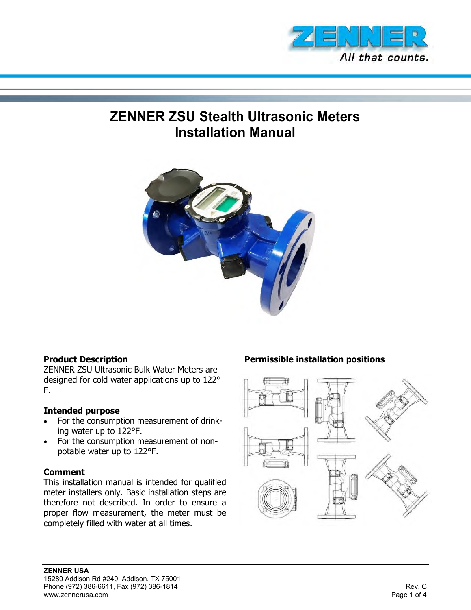

# **ZENNER ZSU Stealth Ultrasonic Meters Installation Manual**



#### **Product Description**

ZENNER ZSU Ultrasonic Bulk Water Meters are designed for cold water applications up to 122° F.

#### **Intended purpose**

- For the consumption measurement of drinking water up to 122°F.
- For the consumption measurement of nonpotable water up to 122°F.

#### **Comment**

This installation manual is intended for qualified meter installers only. Basic installation steps are therefore not described. In order to ensure a proper flow measurement, the meter must be completely filled with water at all times.

## **Permissible installation positions**

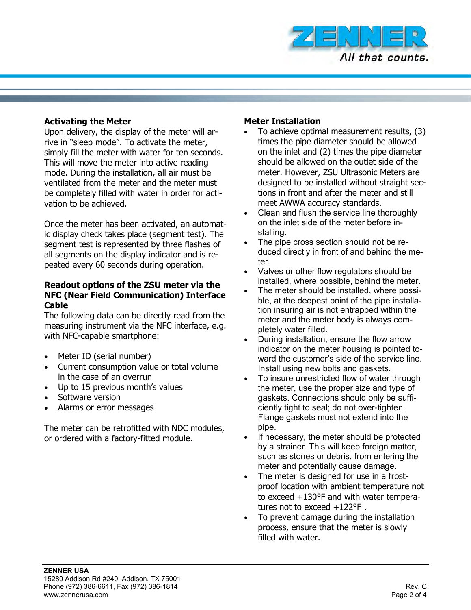

#### **Activating the Meter**

Upon delivery, the display of the meter will arrive in "sleep mode". To activate the meter, simply fill the meter with water for ten seconds. This will move the meter into active reading mode. During the installation, all air must be ventilated from the meter and the meter must be completely filled with water in order for activation to be achieved.

Once the meter has been activated, an automatic display check takes place (segment test). The segment test is represented by three flashes of all segments on the display indicator and is repeated every 60 seconds during operation.

#### **Readout options of the ZSU meter via the NFC (Near Field Communication) Interface Cable**

The following data can be directly read from the measuring instrument via the NFC interface, e.g. with NFC-capable smartphone:

- Meter ID (serial number)
- Current consumption value or total volume in the case of an overrun
- Up to 15 previous month's values
- Software version
- Alarms or error messages

The meter can be retrofitted with NDC modules, or ordered with a factory-fitted module.

#### **Meter Installation**

- To achieve optimal measurement results, (3) times the pipe diameter should be allowed on the inlet and (2) times the pipe diameter should be allowed on the outlet side of the meter. However, ZSU Ultrasonic Meters are designed to be installed without straight sections in front and after the meter and still meet AWWA accuracy standards.
- Clean and flush the service line thoroughly on the inlet side of the meter before installing.
- The pipe cross section should not be reduced directly in front of and behind the meter.
- Valves or other flow regulators should be installed, where possible, behind the meter.
- The meter should be installed, where possible, at the deepest point of the pipe installation insuring air is not entrapped within the meter and the meter body is always completely water filled.
- During installation, ensure the flow arrow indicator on the meter housing is pointed toward the customer's side of the service line. Install using new bolts and gaskets.
- To insure unrestricted flow of water through the meter, use the proper size and type of gaskets. Connections should only be sufficiently tight to seal; do not over-tighten. Flange gaskets must not extend into the pipe.
- If necessary, the meter should be protected by a strainer. This will keep foreign matter, such as stones or debris, from entering the meter and potentially cause damage.
- The meter is designed for use in a frostproof location with ambient temperature not to exceed +130°F and with water temperatures not to exceed +122°F .
- To prevent damage during the installation process, ensure that the meter is slowly filled with water.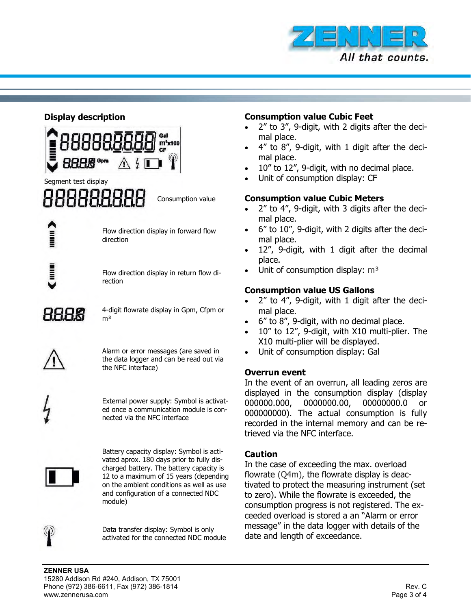

#### **Display description**



# Segment test display

Consumption value

Flow direction display in forward flow direction

Flow direction display in return flow direction

HHHK

4-digit flowrate display in Gpm, Cfpm or m<sup>3</sup>

Alarm or error messages (are saved in the data logger and can be read out via the NFC interface)

External power supply: Symbol is activated once a communication module is connected via the NFC interface



Battery capacity display: Symbol is activated aprox. 180 days prior to fully discharged battery. The battery capacity is 12 to a maximum of 15 years (depending on the ambient conditions as well as use and configuration of a connected NDC module)



Data transfer display: Symbol is only activated for the connected NDC module

#### **Consumption value Cubic Feet**

- 2" to 3", 9-digit, with 2 digits after the decimal place.
- 4" to 8", 9-digit, with 1 digit after the decimal place.
- 10" to 12", 9-digit, with no decimal place.
- Unit of consumption display: CF

### **Consumption value Cubic Meters**

- 2" to 4", 9-digit, with 3 digits after the decimal place.
- 6" to 10", 9-digit, with 2 digits after the decimal place.
- 12", 9-digit, with 1 digit after the decimal place.
- Unit of consumption display:  $m<sup>3</sup>$

# **Consumption value US Gallons**

- 2" to 4", 9-digit, with 1 digit after the decimal place.
- 6" to 8", 9-digit, with no decimal place.
- 10" to 12", 9-digit, with X10 multi-plier. The X10 multi-plier will be displayed.
- Unit of consumption display: Gal

#### **Overrun event**

In the event of an overrun, all leading zeros are displayed in the consumption display (display 000000.000, 0000000.00, 00000000.0 or 000000000). The actual consumption is fully recorded in the internal memory and can be retrieved via the NFC interface.

#### **Caution**

In the case of exceeding the max. overload flowrate (Q4m), the flowrate display is deactivated to protect the measuring instrument (set to zero). While the flowrate is exceeded, the consumption progress is not registered. The exceeded overload is stored a an "Alarm or error message" in the data logger with details of the date and length of exceedance.